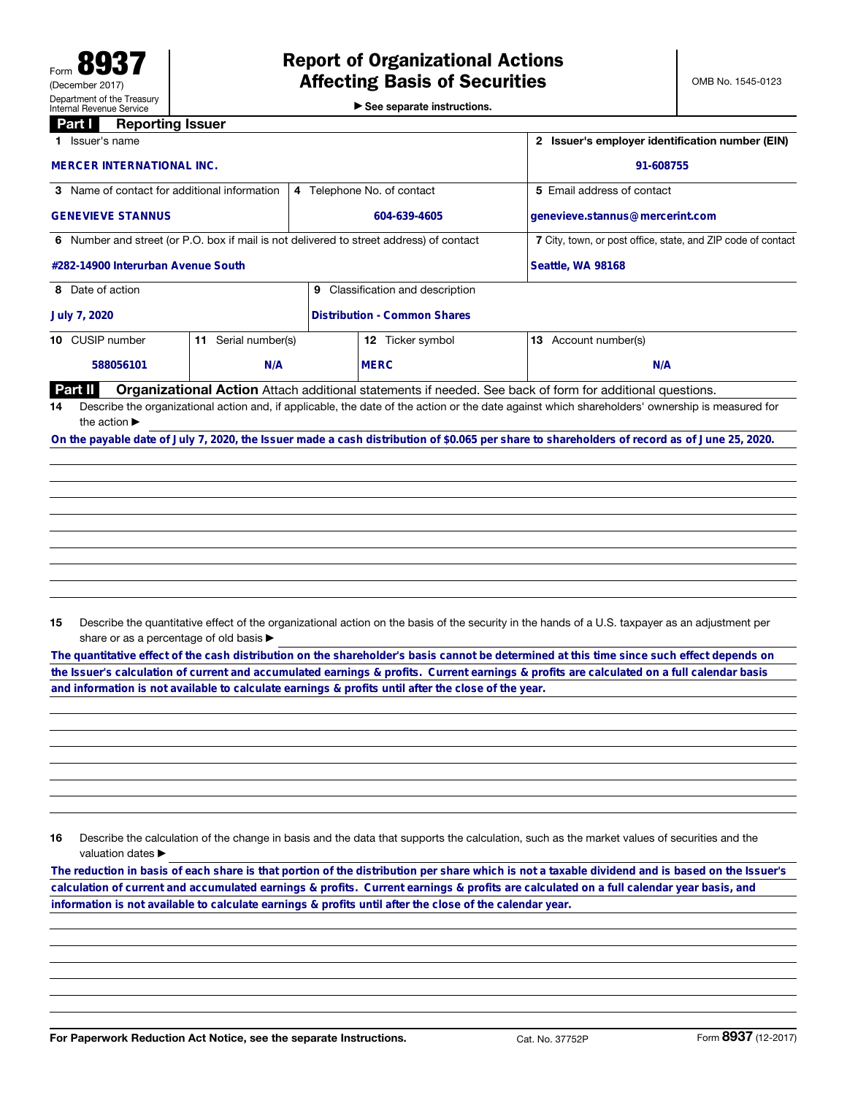▶ See separate instructions.

## **Part I** Reporting Issuer

|                                              | Issuer's name                                                                                                                                   |     |   | 2 Issuer's employer identification number (EIN)<br>91-608755 |                                                                                                                                              |  |  |  |
|----------------------------------------------|-------------------------------------------------------------------------------------------------------------------------------------------------|-----|---|--------------------------------------------------------------|----------------------------------------------------------------------------------------------------------------------------------------------|--|--|--|
|                                              | <b>MERCER INTERNATIONAL INC.</b>                                                                                                                |     |   |                                                              |                                                                                                                                              |  |  |  |
| 3 Name of contact for additional information |                                                                                                                                                 |     |   | 4 Telephone No. of contact                                   | 5 Email address of contact                                                                                                                   |  |  |  |
|                                              | <b>GENEVIEVE STANNUS</b>                                                                                                                        |     |   | 604-639-4605                                                 | genevieve.stannus@mercerint.com                                                                                                              |  |  |  |
|                                              | 6 Number and street (or P.O. box if mail is not delivered to street address) of contact                                                         |     |   | 7 City, town, or post office, state, and ZIP code of contact |                                                                                                                                              |  |  |  |
| #282-14900 Interurban Avenue South           |                                                                                                                                                 |     |   | <b>Seattle, WA 98168</b>                                     |                                                                                                                                              |  |  |  |
|                                              | 8 Date of action                                                                                                                                |     | 9 | Classification and description                               |                                                                                                                                              |  |  |  |
|                                              | July 7, 2020                                                                                                                                    |     |   | <b>Distribution - Common Shares</b>                          |                                                                                                                                              |  |  |  |
|                                              | 10 CUSIP number<br>Serial number(s)<br>11.                                                                                                      |     |   | 12 Ticker symbol                                             | <b>13</b> Account number(s)                                                                                                                  |  |  |  |
|                                              | 588056101                                                                                                                                       | N/A |   | <b>MERC</b>                                                  | N/A                                                                                                                                          |  |  |  |
|                                              | Part II                                                                                                                                         |     |   |                                                              | Organizational Action Attach additional statements if needed. See back of form for additional questions.                                     |  |  |  |
| 14                                           | Describe the organizational action and, if applicable, the date of the action or the date against which shareholders' ownership is measured for |     |   |                                                              |                                                                                                                                              |  |  |  |
|                                              | the action $\blacktriangleright$                                                                                                                |     |   |                                                              |                                                                                                                                              |  |  |  |
|                                              |                                                                                                                                                 |     |   |                                                              | On the payable date of July 7, 2020, the Issuer made a cash distribution of \$0.065 per share to shareholders of record as of June 25, 2020. |  |  |  |
|                                              |                                                                                                                                                 |     |   |                                                              |                                                                                                                                              |  |  |  |
|                                              |                                                                                                                                                 |     |   |                                                              |                                                                                                                                              |  |  |  |
|                                              |                                                                                                                                                 |     |   |                                                              |                                                                                                                                              |  |  |  |

15 Describe the quantitative effect of the organizational action on the basis of the security in the hands of a U.S. taxpayer as an adjustment per share or as a percentage of old basis  $\blacktriangleright$ 

**The quantitative effect of the cash distribution on the shareholder's basis cannot be determined at this time since such effect depends on the Issuer's calculation of current and accumulated earnings & profits. Current earnings & profits are calculated on a full calendar basis**

16 Describe the calculation of the change in basis and the data that supports the calculation, such as the market values of securities and the valuation dates ▶

and information is not available to calculate earnings & profits until after the close of the year.<br>
16 Describe the calculation of the change in basis and the data that supports the calculation, such as the market values